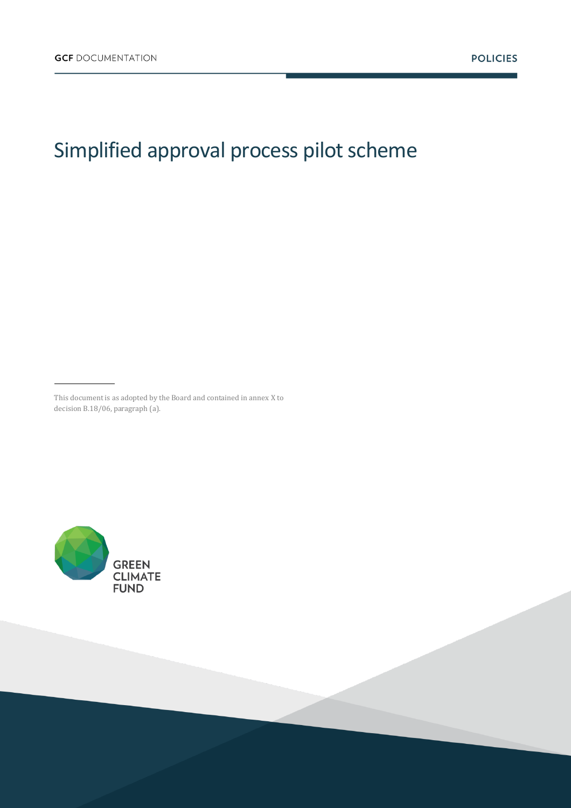# Simplified approval process pilot scheme

This document is as adopted by the Board and contained in annex X to decision B.18/06, paragraph (a).

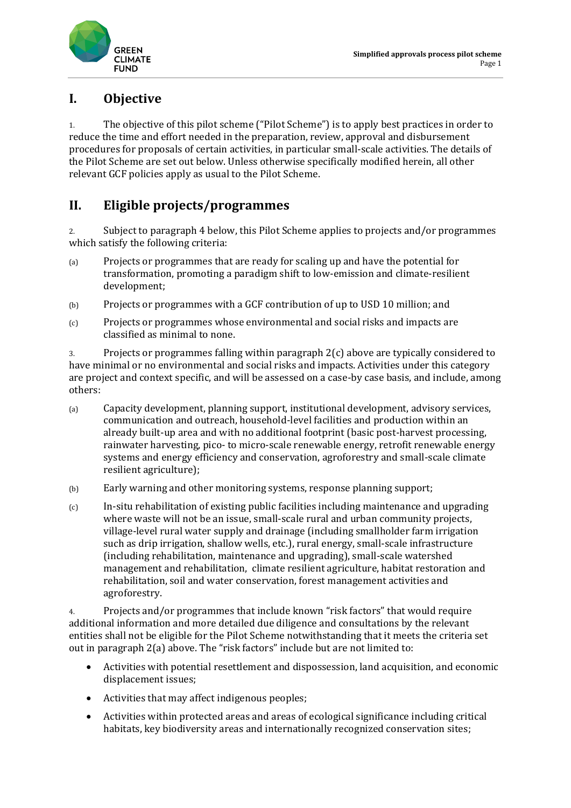

# **I. Objective**

1. The objective of this pilot scheme ("Pilot Scheme") is to apply best practices in order to reduce the time and effort needed in the preparation, review, approval and disbursement procedures for proposals of certain activities, in particular small-scale activities. The details of the Pilot Scheme are set out below. Unless otherwise specifically modified herein, all other relevant GCF policies apply as usual to the Pilot Scheme.

# **II. Eligible projects/programmes**

2. Subject to paragraph 4 below, this Pilot Scheme applies to projects and/or programmes which satisfy the following criteria:

- (a) Projects or programmes that are ready for scaling up and have the potential for transformation, promoting a paradigm shift to low-emission and climate-resilient development;
- (b) Projects or programmes with a GCF contribution of up to USD 10 million; and
- (c) Projects or programmes whose environmental and social risks and impacts are classified as minimal to none.

3. Projects or programmes falling within paragraph 2(c) above are typically considered to have minimal or no environmental and social risks and impacts. Activities under this category are project and context specific, and will be assessed on a case-by case basis, and include, among others:

- (a) Capacity development, planning support, institutional development, advisory services, communication and outreach, household-level facilities and production within an already built-up area and with no additional footprint (basic post-harvest processing, rainwater harvesting, pico- to micro-scale renewable energy, retrofit renewable energy systems and energy efficiency and conservation, agroforestry and small-scale climate resilient agriculture);
- (b) Early warning and other monitoring systems, response planning support;
- (c) In-situ rehabilitation of existing public facilities including maintenance and upgrading where waste will not be an issue, small-scale rural and urban community projects, village-level rural water supply and drainage (including smallholder farm irrigation such as drip irrigation, shallow wells, etc.), rural energy, small-scale infrastructure (including rehabilitation, maintenance and upgrading), small-scale watershed management and rehabilitation, climate resilient agriculture, habitat restoration and rehabilitation, soil and water conservation, forest management activities and agroforestry.

4. Projects and/or programmes that include known "risk factors" that would require additional information and more detailed due diligence and consultations by the relevant entities shall not be eligible for the Pilot Scheme notwithstanding that it meets the criteria set out in paragraph 2(a) above. The "risk factors" include but are not limited to:

- Activities with potential resettlement and dispossession, land acquisition, and economic displacement issues;
- Activities that may affect indigenous peoples;
- Activities within protected areas and areas of ecological significance including critical habitats, key biodiversity areas and internationally recognized conservation sites;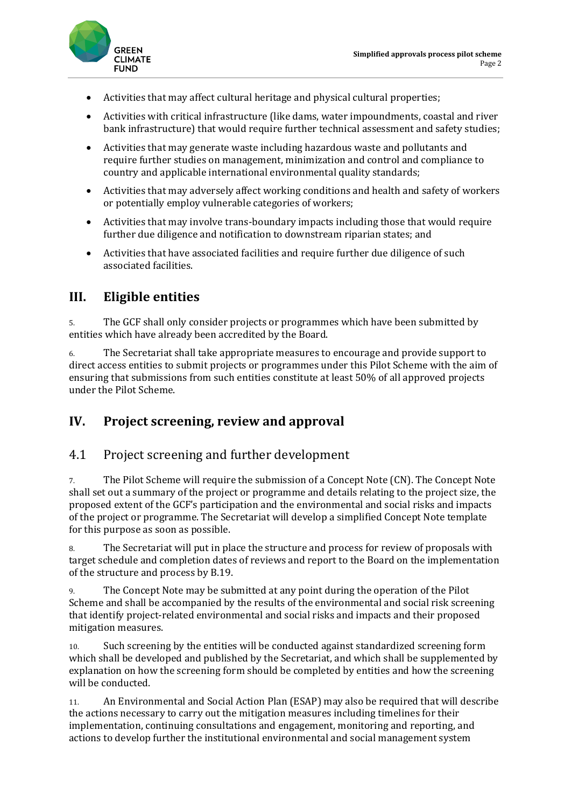

- Activities that may affect cultural heritage and physical cultural properties;
- Activities with critical infrastructure (like dams, water impoundments, coastal and river bank infrastructure) that would require further technical assessment and safety studies;
- Activities that may generate waste including hazardous waste and pollutants and require further studies on management, minimization and control and compliance to country and applicable international environmental quality standards;
- Activities that may adversely affect working conditions and health and safety of workers or potentially employ vulnerable categories of workers;
- Activities that may involve trans-boundary impacts including those that would require further due diligence and notification to downstream riparian states; and
- Activities that have associated facilities and require further due diligence of such associated facilities.

# **III. Eligible entities**

5. The GCF shall only consider projects or programmes which have been submitted by entities which have already been accredited by the Board.

6. The Secretariat shall take appropriate measures to encourage and provide support to direct access entities to submit projects or programmes under this Pilot Scheme with the aim of ensuring that submissions from such entities constitute at least 50% of all approved projects under the Pilot Scheme.

# **IV. Project screening, review and approval**

#### 4.1 Project screening and further development

7. The Pilot Scheme will require the submission of a Concept Note (CN). The Concept Note shall set out a summary of the project or programme and details relating to the project size, the proposed extent of the GCF's participation and the environmental and social risks and impacts of the project or programme. The Secretariat will develop a simplified Concept Note template for this purpose as soon as possible.

8. The Secretariat will put in place the structure and process for review of proposals with target schedule and completion dates of reviews and report to the Board on the implementation of the structure and process by B.19.

9. The Concept Note may be submitted at any point during the operation of the Pilot Scheme and shall be accompanied by the results of the environmental and social risk screening that identify project-related environmental and social risks and impacts and their proposed mitigation measures.

10. Such screening by the entities will be conducted against standardized screening form which shall be developed and published by the Secretariat, and which shall be supplemented by explanation on how the screening form should be completed by entities and how the screening will be conducted.

11. An Environmental and Social Action Plan (ESAP) may also be required that will describe the actions necessary to carry out the mitigation measures including timelines for their implementation, continuing consultations and engagement, monitoring and reporting, and actions to develop further the institutional environmental and social management system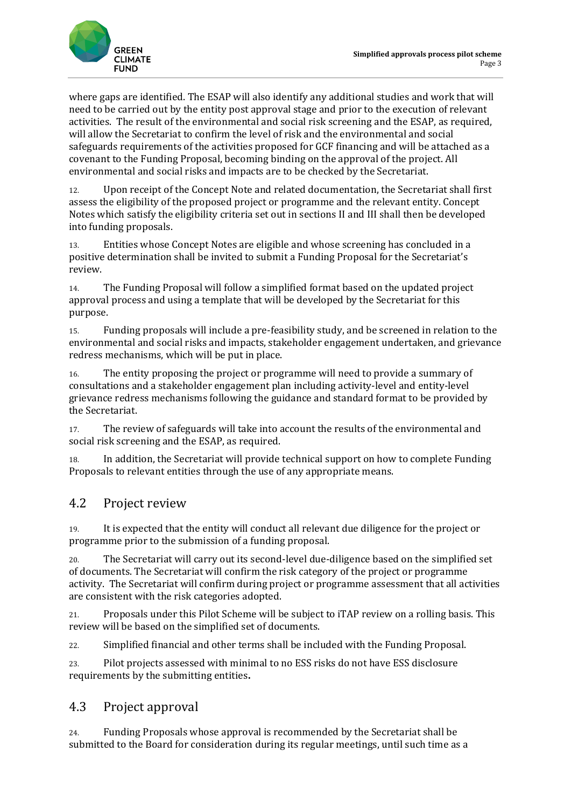

where gaps are identified. The ESAP will also identify any additional studies and work that will need to be carried out by the entity post approval stage and prior to the execution of relevant activities. The result of the environmental and social risk screening and the ESAP, as required, will allow the Secretariat to confirm the level of risk and the environmental and social safeguards requirements of the activities proposed for GCF financing and will be attached as a covenant to the Funding Proposal, becoming binding on the approval of the project. All environmental and social risks and impacts are to be checked by the Secretariat.

12. Upon receipt of the Concept Note and related documentation, the Secretariat shall first assess the eligibility of the proposed project or programme and the relevant entity. Concept Notes which satisfy the eligibility criteria set out in sections II and III shall then be developed into funding proposals.

13. Entities whose Concept Notes are eligible and whose screening has concluded in a positive determination shall be invited to submit a Funding Proposal for the Secretariat's review.

14. The Funding Proposal will follow a simplified format based on the updated project approval process and using a template that will be developed by the Secretariat for this purpose.

15. Funding proposals will include a pre-feasibility study, and be screened in relation to the environmental and social risks and impacts, stakeholder engagement undertaken, and grievance redress mechanisms, which will be put in place.

16. The entity proposing the project or programme will need to provide a summary of consultations and a stakeholder engagement plan including activity-level and entity-level grievance redress mechanisms following the guidance and standard format to be provided by the Secretariat.

17. The review of safeguards will take into account the results of the environmental and social risk screening and the ESAP, as required.

18. In addition, the Secretariat will provide technical support on how to complete Funding Proposals to relevant entities through the use of any appropriate means.

# 4.2 Project review

19. It is expected that the entity will conduct all relevant due diligence for the project or programme prior to the submission of a funding proposal.

20. The Secretariat will carry out its second-level due-diligence based on the simplified set of documents. The Secretariat will confirm the risk category of the project or programme activity. The Secretariat will confirm during project or programme assessment that all activities are consistent with the risk categories adopted.

21. Proposals under this Pilot Scheme will be subject to iTAP review on a rolling basis. This review will be based on the simplified set of documents.

22. Simplified financial and other terms shall be included with the Funding Proposal.

23. Pilot projects assessed with minimal to no ESS risks do not have ESS disclosure requirements by the submitting entities**.** 

#### 4.3 Project approval

24. Funding Proposals whose approval is recommended by the Secretariat shall be submitted to the Board for consideration during its regular meetings, until such time as a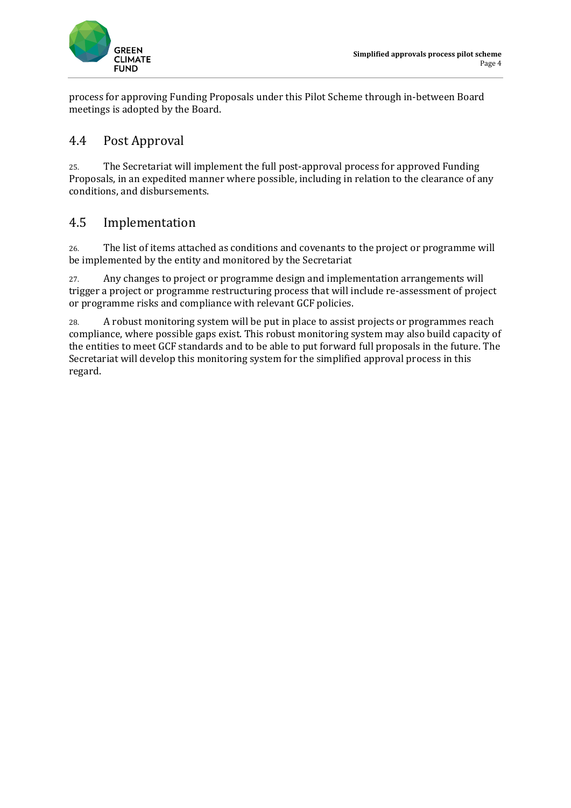

process for approving Funding Proposals under this Pilot Scheme through in-between Board meetings is adopted by the Board.

# 4.4 Post Approval

25. The Secretariat will implement the full post-approval process for approved Funding Proposals, in an expedited manner where possible, including in relation to the clearance of any conditions, and disbursements.

# 4.5 Implementation

26. The list of items attached as conditions and covenants to the project or programme will be implemented by the entity and monitored by the Secretariat

27. Any changes to project or programme design and implementation arrangements will trigger a project or programme restructuring process that will include re-assessment of project or programme risks and compliance with relevant GCF policies.

28. A robust monitoring system will be put in place to assist projects or programmes reach compliance, where possible gaps exist. This robust monitoring system may also build capacity of the entities to meet GCF standards and to be able to put forward full proposals in the future. The Secretariat will develop this monitoring system for the simplified approval process in this regard.